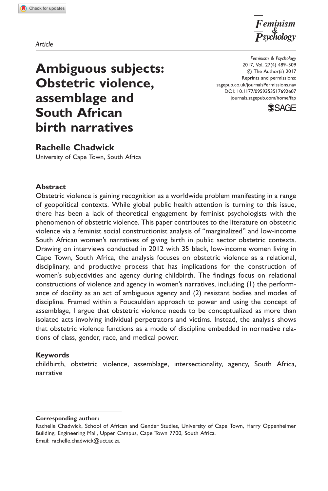Article



Feminism & Psychology 2017, Vol. 27(4) 489–509 (C) The Author(s) 2017 Reprints and permissions:

<journals.sagepub.com/home/fap>

[sagepub.co.uk/journalsPermissions.nav](https://uk.sagepub.com/en-gb/journals-permissions) DOI: [10.1177/0959353517692607](https://doi.org/10.1177/0959353517692607) Ambiguous subjects: Obstetric violence, assemblage and South African



# Rachelle Chadwick

University of Cape Town, South Africa

birth narratives

### Abstract

Obstetric violence is gaining recognition as a worldwide problem manifesting in a range of geopolitical contexts. While global public health attention is turning to this issue, there has been a lack of theoretical engagement by feminist psychologists with the phenomenon of obstetric violence. This paper contributes to the literature on obstetric violence via a feminist social constructionist analysis of ''marginalized'' and low-income South African women's narratives of giving birth in public sector obstetric contexts. Drawing on interviews conducted in 2012 with 35 black, low-income women living in Cape Town, South Africa, the analysis focuses on obstetric violence as a relational, disciplinary, and productive process that has implications for the construction of women's subjectivities and agency during childbirth. The findings focus on relational constructions of violence and agency in women's narratives, including (1) the performance of docility as an act of ambiguous agency and (2) resistant bodies and modes of discipline. Framed within a Foucauldian approach to power and using the concept of assemblage, I argue that obstetric violence needs to be conceptualized as more than isolated acts involving individual perpetrators and victims. Instead, the analysis shows that obstetric violence functions as a mode of discipline embedded in normative relations of class, gender, race, and medical power.

### Keywords

childbirth, obstetric violence, assemblage, intersectionality, agency, South Africa, narrative

Corresponding author:

Rachelle Chadwick, School of African and Gender Studies, University of Cape Town, Harry Oppenheimer Building, Engineering Mall, Upper Campus, Cape Town 7700, South Africa. Email: rachelle.chadwick@uct.ac.za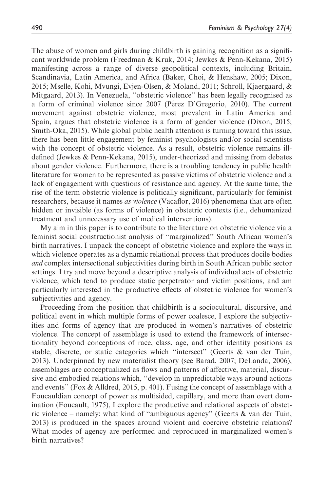The abuse of women and girls during childbirth is gaining recognition as a significant worldwide problem (Freedman & Kruk, 2014; Jewkes & Penn-Kekana, 2015) manifesting across a range of diverse geopolitical contexts, including Britain, Scandinavia, Latin America, and Africa (Baker, Choi, & Henshaw, 2005; Dixon, 2015; Mselle, Kohi, Mvungi, Evjen-Olsen, & Moland, 2011; Schroll, Kjaergaard, & Mitgaard, 2013). In Venezuela, ''obstetric violence'' has been legally recognised as a form of criminal violence since 2007 (Pérez D'Gregorio, 2010). The current movement against obstetric violence, most prevalent in Latin America and Spain, argues that obstetric violence is a form of gender violence (Dixon, 2015; Smith-Oka, 2015). While global public health attention is turning toward this issue, there has been little engagement by feminist psychologists and/or social scientists with the concept of obstetric violence. As a result, obstetric violence remains illdefined (Jewkes & Penn-Kekana, 2015), under-theorized and missing from debates about gender violence. Furthermore, there is a troubling tendency in public health literature for women to be represented as passive victims of obstetric violence and a lack of engagement with questions of resistance and agency. At the same time, the rise of the term obstetric violence is politically significant, particularly for feminist researchers, because it names *as violence* (Vacaflor, 2016) phenomena that are often hidden or invisible (as forms of violence) in obstetric contexts (i.e., dehumanized treatment and unnecessary use of medical interventions).

My aim in this paper is to contribute to the literature on obstetric violence via a feminist social constructionist analysis of ''marginalized'' South African women's birth narratives. I unpack the concept of obstetric violence and explore the ways in which violence operates as a dynamic relational process that produces docile bodies and complex intersectional subjectivities during birth in South African public sector settings. I try and move beyond a descriptive analysis of individual acts of obstetric violence, which tend to produce static perpetrator and victim positions, and am particularly interested in the productive effects of obstetric violence for women's subjectivities and agency.

Proceeding from the position that childbirth is a sociocultural, discursive, and political event in which multiple forms of power coalesce, I explore the subjectivities and forms of agency that are produced in women's narratives of obstetric violence. The concept of assemblage is used to extend the framework of intersectionality beyond conceptions of race, class, age, and other identity positions as stable, discrete, or static categories which ''intersect'' (Geerts & van der Tuin, 2013). Underpinned by new materialist theory (see Barad, 2007; DeLanda, 2006), assemblages are conceptualized as flows and patterns of affective, material, discursive and embodied relations which, ''develop in unpredictable ways around actions and events'' (Fox & Alldred, 2015, p. 401). Fusing the concept of assemblage with a Foucauldian concept of power as multisided, capillary, and more than overt domination (Foucault, 1975), I explore the productive and relational aspects of obstetric violence – namely: what kind of ''ambiguous agency'' (Geerts & van der Tuin, 2013) is produced in the spaces around violent and coercive obstetric relations? What modes of agency are performed and reproduced in marginalized women's birth narratives?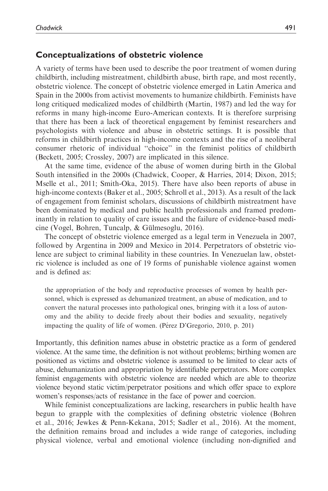# Conceptualizations of obstetric violence

A variety of terms have been used to describe the poor treatment of women during childbirth, including mistreatment, childbirth abuse, birth rape, and most recently, obstetric violence. The concept of obstetric violence emerged in Latin America and Spain in the 2000s from activist movements to humanize childbirth. Feminists have long critiqued medicalized modes of childbirth (Martin, 1987) and led the way for reforms in many high-income Euro-American contexts. It is therefore surprising that there has been a lack of theoretical engagement by feminist researchers and psychologists with violence and abuse in obstetric settings. It is possible that reforms in childbirth practices in high-income contexts and the rise of a neoliberal consumer rhetoric of individual ''choice'' in the feminist politics of childbirth (Beckett, 2005; Crossley, 2007) are implicated in this silence.

At the same time, evidence of the abuse of women during birth in the Global South intensified in the 2000s (Chadwick, Cooper, & Harries, 2014; Dixon, 2015; Mselle et al., 2011; Smith-Oka, 2015). There have also been reports of abuse in high-income contexts (Baker et al., 2005; Schroll et al., 2013). As a result of the lack of engagement from feminist scholars, discussions of childbirth mistreatment have been dominated by medical and public health professionals and framed predominantly in relation to quality of care issues and the failure of evidence-based medicine (Vogel, Bohren, Tuncalp, & Gülmesoglu, 2016).

The concept of obstetric violence emerged as a legal term in Venezuela in 2007, followed by Argentina in 2009 and Mexico in 2014. Perpetrators of obstetric violence are subject to criminal liability in these countries. In Venezuelan law, obstetric violence is included as one of 19 forms of punishable violence against women and is defined as:

the appropriation of the body and reproductive processes of women by health personnel, which is expressed as dehumanized treatment, an abuse of medication, and to convert the natural processes into pathological ones, bringing with it a loss of autonomy and the ability to decide freely about their bodies and sexuality, negatively impacting the quality of life of women. (Pérez D'Gregorio, 2010, p. 201)

Importantly, this definition names abuse in obstetric practice as a form of gendered violence. At the same time, the definition is not without problems; birthing women are positioned as victims and obstetric violence is assumed to be limited to clear acts of abuse, dehumanization and appropriation by identifiable perpetrators. More complex feminist engagements with obstetric violence are needed which are able to theorize violence beyond static victim/perpetrator positions and which offer space to explore women's responses/acts of resistance in the face of power and coercion.

While feminist conceptualizations are lacking, researchers in public health have begun to grapple with the complexities of defining obstetric violence (Bohren et al., 2016; Jewkes & Penn-Kekana, 2015; Sadler et al., 2016). At the moment, the definition remains broad and includes a wide range of categories, including physical violence, verbal and emotional violence (including non-dignified and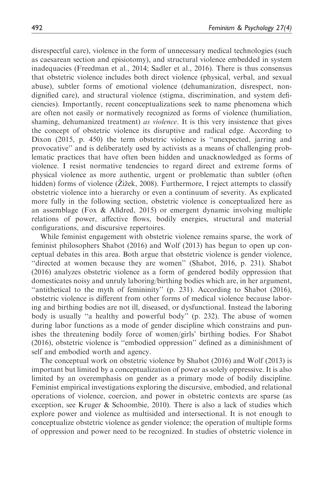disrespectful care), violence in the form of unnecessary medical technologies (such as caesarean section and episiotomy), and structural violence embedded in system inadequacies (Freedman et al., 2014; Sadler et al., 2016). There is thus consensus that obstetric violence includes both direct violence (physical, verbal, and sexual abuse), subtler forms of emotional violence (dehumanization, disrespect, nondignified care), and structural violence (stigma, discrimination, and system deficiencies). Importantly, recent conceptualizations seek to name phenomena which are often not easily or normatively recognized as forms of violence (humiliation, shaming, dehumanized treatment) as violence. It is this very insistence that gives the concept of obstetric violence its disruptive and radical edge. According to Dixon (2015, p. 450) the term obstetric violence is ''unexpected, jarring and provocative'' and is deliberately used by activists as a means of challenging problematic practices that have often been hidden and unacknowledged as forms of violence. I resist normative tendencies to regard direct and extreme forms of physical violence as more authentic, urgent or problematic than subtler (often hidden) forms of violence (Žižek, 2008). Furthermore, I reject attempts to classify obstetric violence into a hierarchy or even a continuum of severity. As explicated more fully in the following section, obstetric violence is conceptualized here as an assemblage (Fox  $\&$  Alldred, 2015) or emergent dynamic involving multiple relations of power, affective flows, bodily energies, structural and material configurations, and discursive repertoires.

While feminist engagement with obstetric violence remains sparse, the work of feminist philosophers Shabot (2016) and Wolf (2013) has begun to open up conceptual debates in this area. Both argue that obstetric violence is gender violence, "directed at women because they are women" (Shabot, 2016, p. 231). Shabot (2016) analyzes obstetric violence as a form of gendered bodily oppression that domesticates noisy and unruly laboring/birthing bodies which are, in her argument, "antithetical to the myth of femininity"  $(p. 231)$ . According to Shabot (2016), obstetric violence is different from other forms of medical violence because laboring and birthing bodies are not ill, diseased, or dysfunctional. Instead the laboring body is usually ''a healthy and powerful body'' (p. 232). The abuse of women during labor functions as a mode of gender discipline which constrains and punishes the threatening bodily force of women/girls' birthing bodies. For Shabot (2016), obstetric violence is ''embodied oppression'' defined as a diminishment of self and embodied worth and agency.

The conceptual work on obstetric violence by Shabot (2016) and Wolf (2013) is important but limited by a conceptualization of power as solely oppressive. It is also limited by an overemphasis on gender as a primary mode of bodily discipline. Feminist empirical investigations exploring the discursive, embodied, and relational operations of violence, coercion, and power in obstetric contexts are sparse (as exception, see Kruger  $&$  Schoombie, 2010). There is also a lack of studies which explore power and violence as multisided and intersectional. It is not enough to conceptualize obstetric violence as gender violence; the operation of multiple forms of oppression and power need to be recognized. In studies of obstetric violence in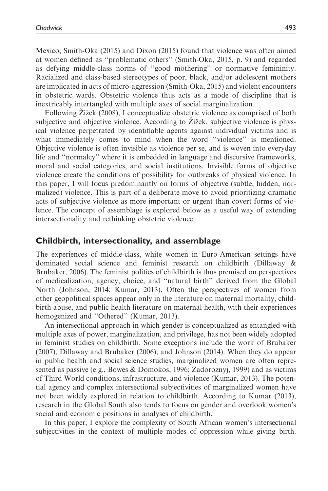Mexico, Smith-Oka (2015) and Dixon (2015) found that violence was often aimed at women defined as ''problematic others'' (Smith-Oka, 2015, p. 9) and regarded as defying middle-class norms of ''good mothering'' or normative femininity. Racialized and class-based stereotypes of poor, black, and/or adolescent mothers are implicated in acts of micro-aggression (Smith-Oka, 2015) and violent encounters in obstetric wards. Obstetric violence thus acts as a mode of discipline that is inextricably intertangled with multiple axes of social marginalization.

Following Zižek (2008), I conceptualize obstetric violence as comprised of both subjective and objective violence. According to Zižek, subjective violence is physical violence perpetrated by identifiable agents against individual victims and is what immediately comes to mind when the word "violence" is mentioned. Objective violence is often invisible as violence per se, and is woven into everyday life and ''normalcy'' where it is embedded in language and discursive frameworks, moral and social categories, and social institutions. Invisible forms of objective violence create the conditions of possibility for outbreaks of physical violence. In this paper, I will focus predominantly on forms of objective (subtle, hidden, normalized) violence. This is part of a deliberate move to avoid prioritizing dramatic acts of subjective violence as more important or urgent than covert forms of violence. The concept of assemblage is explored below as a useful way of extending intersectionality and rethinking obstetric violence.

# Childbirth, intersectionality, and assemblage

The experiences of middle-class, white women in Euro-American settings have dominated social science and feminist research on childbirth (Dillaway & Brubaker, 2006). The feminist politics of childbirth is thus premised on perspectives of medicalization, agency, choice, and ''natural birth'' derived from the Global North (Johnson, 2014; Kumar, 2013). Often the perspectives of women from other geopolitical spaces appear only in the literature on maternal mortality, childbirth abuse, and public health literature on maternal health, with their experiences homogenized and "Othered" (Kumar, 2013).

An intersectional approach in which gender is conceptualized as entangled with multiple axes of power, marginalization, and privilege, has not been widely adopted in feminist studies on childbirth. Some exceptions include the work of Brubaker (2007), Dillaway and Brubaker (2006), and Johnson (2014). When they do appear in public health and social science studies, marginalized women are often represented as passive (e.g., Bowes & Domokos, 1996; Zadoroznyj, 1999) and as victims of Third World conditions, infrastructure, and violence (Kumar, 2013). The potential agency and complex intersectional subjectivities of marginalized women have not been widely explored in relation to childbirth. According to Kumar (2013), research in the Global South also tends to focus on gender and overlook women's social and economic positions in analyses of childbirth.

In this paper, I explore the complexity of South African women's intersectional subjectivities in the context of multiple modes of oppression while giving birth.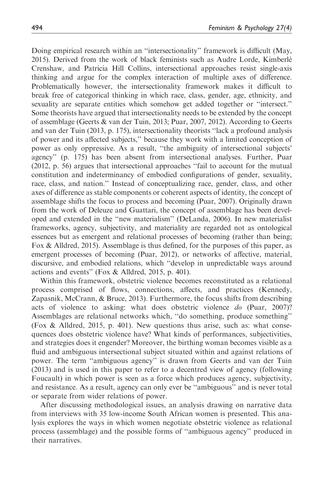Doing empirical research within an ''intersectionality'' framework is difficult (May, 2015). Derived from the work of black feminists such as Audre Lorde, Kimberle´ Crenshaw, and Patricia Hill Collins, intersectional approaches resist single-axis thinking and argue for the complex interaction of multiple axes of difference. Problematically however, the intersectionality framework makes it difficult to break free of categorical thinking in which race, class, gender, age, ethnicity, and sexuality are separate entities which somehow get added together or ''intersect.'' Some theorists have argued that intersectionality needs to be extended by the concept of assemblage (Geerts & van der Tuin, 2013; Puar, 2007, 2012). According to Geerts and van der Tuin (2013, p. 175), intersectionality theorists ''lack a profound analysis of power and its affected subjects,'' because they work with a limited conception of power as only oppressive. As a result, ''the ambiguity of intersectional subjects' agency'' (p. 175) has been absent from intersectional analyses. Further, Puar (2012, p. 56) argues that intersectional approaches ''fail to account for the mutual constitution and indeterminancy of embodied configurations of gender, sexuality, race, class, and nation.'' Instead of conceptualizing race, gender, class, and other axes of difference as stable components or coherent aspects of identity, the concept of assemblage shifts the focus to process and becoming (Puar, 2007). Originally drawn from the work of Deleuze and Guattari, the concept of assemblage has been developed and extended in the ''new materialism'' (DeLanda, 2006). In new materialist frameworks, agency, subjectivity, and materiality are regarded not as ontological essences but as emergent and relational processes of becoming (rather than being; Fox & Alldred, 2015). Assemblage is thus defined, for the purposes of this paper, as emergent processes of becoming (Puar, 2012), or networks of affective, material, discursive, and embodied relations, which ''develop in unpredictable ways around actions and events'' (Fox & Alldred, 2015, p. 401).

Within this framework, obstetric violence becomes reconstituted as a relational process comprised of flows, connections, affects, and practices (Kennedy, Zapasnik, McCrann, & Bruce, 2013). Furthermore, the focus shifts from describing acts of violence to asking: what does obstetric violence do (Puar, 2007)? Assemblages are relational networks which, ''do something, produce something'' (Fox  $\&$  Alldred, 2015, p. 401). New questions thus arise, such as: what consequences does obstetric violence have? What kinds of performances, subjectivities, and strategies does it engender? Moreover, the birthing woman becomes visible as a fluid and ambiguous intersectional subject situated within and against relations of power. The term ''ambiguous agency'' is drawn from Geerts and van der Tuin (2013) and is used in this paper to refer to a decentred view of agency (following Foucault) in which power is seen as a force which produces agency, subjectivity, and resistance. As a result, agency can only ever be ''ambiguous'' and is never total or separate from wider relations of power.

After discussing methodological issues, an analysis drawing on narrative data from interviews with 35 low-income South African women is presented. This analysis explores the ways in which women negotiate obstetric violence as relational process (assemblage) and the possible forms of ''ambiguous agency'' produced in their narratives.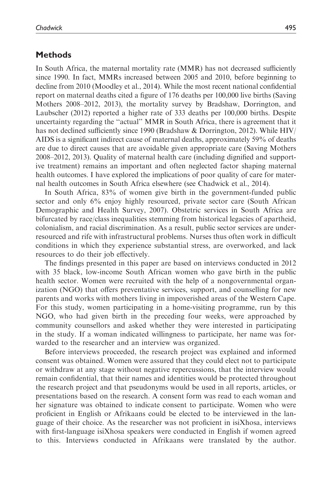# **Methods**

In South Africa, the maternal mortality rate (MMR) has not decreased sufficiently since 1990. In fact, MMRs increased between 2005 and 2010, before beginning to decline from 2010 (Moodley et al., 2014). While the most recent national confidential report on maternal deaths cited a figure of 176 deaths per 100,000 live births (Saving Mothers 2008–2012, 2013), the mortality survey by Bradshaw, Dorrington, and Laubscher (2012) reported a higher rate of 333 deaths per 100,000 births. Despite uncertainty regarding the ''actual'' MMR in South Africa, there is agreement that it has not declined sufficiently since 1990 (Bradshaw & Dorrington, 2012). While HIV/ AIDS is a significant indirect cause of maternal deaths, approximately 59% of deaths are due to direct causes that are avoidable given appropriate care (Saving Mothers 2008–2012, 2013). Quality of maternal health care (including dignified and supportive treatment) remains an important and often neglected factor shaping maternal health outcomes. I have explored the implications of poor quality of care for maternal health outcomes in South Africa elsewhere (see Chadwick et al., 2014).

In South Africa, 83% of women give birth in the government-funded public sector and only 6% enjoy highly resourced, private sector care (South African Demographic and Health Survey, 2007). Obstetric services in South Africa are bifurcated by race/class inequalities stemming from historical legacies of apartheid, colonialism, and racial discrimination. As a result, public sector services are underresourced and rife with infrastructural problems. Nurses thus often work in difficult conditions in which they experience substantial stress, are overworked, and lack resources to do their job effectively.

The findings presented in this paper are based on interviews conducted in 2012 with 35 black, low-income South African women who gave birth in the public health sector. Women were recruited with the help of a nongovernmental organization (NGO) that offers preventative services, support, and counselling for new parents and works with mothers living in impoverished areas of the Western Cape. For this study, women participating in a home-visiting programme, run by this NGO, who had given birth in the preceding four weeks, were approached by community counsellors and asked whether they were interested in participating in the study. If a woman indicated willingness to participate, her name was forwarded to the researcher and an interview was organized.

Before interviews proceeded, the research project was explained and informed consent was obtained. Women were assured that they could elect not to participate or withdraw at any stage without negative repercussions, that the interview would remain confidential, that their names and identities would be protected throughout the research project and that pseudonyms would be used in all reports, articles, or presentations based on the research. A consent form was read to each woman and her signature was obtained to indicate consent to participate. Women who were proficient in English or Afrikaans could be elected to be interviewed in the language of their choice. As the researcher was not proficient in isiXhosa, interviews with first-language isiXhosa speakers were conducted in English if women agreed to this. Interviews conducted in Afrikaans were translated by the author.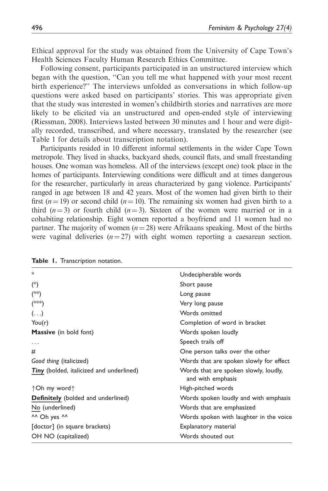Ethical approval for the study was obtained from the University of Cape Town's Health Sciences Faculty Human Research Ethics Committee.

Following consent, participants participated in an unstructured interview which began with the question, ''Can you tell me what happened with your most recent birth experience?'' The interviews unfolded as conversations in which follow-up questions were asked based on participants' stories. This was appropriate given that the study was interested in women's childbirth stories and narratives are more likely to be elicited via an unstructured and open-ended style of interviewing (Riessman, 2008). Interviews lasted between 30 minutes and 1 hour and were digitally recorded, transcribed, and where necessary, translated by the researcher (see Table 1 for details about transcription notation).

Participants resided in 10 different informal settlements in the wider Cape Town metropole. They lived in shacks, backyard sheds, council flats, and small freestanding houses. One woman was homeless. All of the interviews (except one) took place in the homes of participants. Interviewing conditions were difficult and at times dangerous for the researcher, particularly in areas characterized by gang violence. Participants' ranged in age between 18 and 42 years. Most of the women had given birth to their first ( $n=19$ ) or second child ( $n=10$ ). The remaining six women had given birth to a third  $(n=3)$  or fourth child  $(n=3)$ . Sixteen of the women were married or in a cohabiting relationship. Eight women reported a boyfriend and 11 women had no partner. The majority of women  $(n=28)$  were Afrikaans speaking. Most of the births were vaginal deliveries  $(n=27)$  with eight women reporting a caesarean section.

| $\ast$                                          | Undecipherable words                                       |
|-------------------------------------------------|------------------------------------------------------------|
| $(*)$                                           | Short pause                                                |
| (**)                                            | Long pause                                                 |
| $(*sk)$                                         | Very long pause                                            |
| $\left( \ldots \right)$                         | Words omitted                                              |
| You $(r)$                                       | Completion of word in bracket                              |
| <b>Massive</b> (in bold font)                   | Words spoken loudly                                        |
|                                                 | Speech trails off                                          |
| #                                               | One person talks over the other                            |
| Good thing (italicized)                         | Words that are spoken slowly for effect                    |
| <b>Tiny</b> (bolded, italicized and underlined) | Words that are spoken slowly, loudly,<br>and with emphasis |
| $\uparrow$ Oh my word $\uparrow$                | High-pitched words                                         |
| <b>Definitely</b> (bolded and underlined)       | Words spoken loudly and with emphasis                      |
| No (underlined)                                 | Words that are emphasized                                  |
| <sup>^^</sup> Oh yes ^^                         | Words spoken with laughter in the voice                    |
| [doctor] (in square brackets)                   | Explanatory material                                       |
| OH NO (capitalized)                             | Words shouted out                                          |

Table 1. Transcription notation.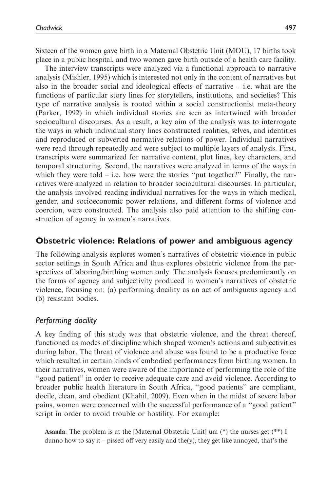Sixteen of the women gave birth in a Maternal Obstetric Unit (MOU), 17 births took place in a public hospital, and two women gave birth outside of a health care facility.

The interview transcripts were analyzed via a functional approach to narrative analysis (Mishler, 1995) which is interested not only in the content of narratives but also in the broader social and ideological effects of narrative – i.e. what are the functions of particular story lines for storytellers, institutions, and societies? This type of narrative analysis is rooted within a social constructionist meta-theory (Parker, 1992) in which individual stories are seen as intertwined with broader sociocultural discourses. As a result, a key aim of the analysis was to interrogate the ways in which individual story lines constructed realities, selves, and identities and reproduced or subverted normative relations of power. Individual narratives were read through repeatedly and were subject to multiple layers of analysis. First, transcripts were summarized for narrative content, plot lines, key characters, and temporal structuring. Second, the narratives were analyzed in terms of the ways in which they were told  $-$  i.e. how were the stories "put together?" Finally, the narratives were analyzed in relation to broader sociocultural discourses. In particular, the analysis involved reading individual narratives for the ways in which medical, gender, and socioeconomic power relations, and different forms of violence and coercion, were constructed. The analysis also paid attention to the shifting construction of agency in women's narratives.

# Obstetric violence: Relations of power and ambiguous agency

The following analysis explores women's narratives of obstetric violence in public sector settings in South Africa and thus explores obstetric violence from the perspectives of laboring/birthing women only. The analysis focuses predominantly on the forms of agency and subjectivity produced in women's narratives of obstetric violence, focusing on: (a) performing docility as an act of ambiguous agency and (b) resistant bodies.

### Performing docility

A key finding of this study was that obstetric violence, and the threat thereof, functioned as modes of discipline which shaped women's actions and subjectivities during labor. The threat of violence and abuse was found to be a productive force which resulted in certain kinds of embodied performances from birthing women. In their narratives, women were aware of the importance of performing the role of the ''good patient'' in order to receive adequate care and avoid violence. According to broader public health literature in South Africa, ''good patients'' are compliant, docile, clean, and obedient (Khahil, 2009). Even when in the midst of severe labor pains, women were concerned with the successful performance of a ''good patient'' script in order to avoid trouble or hostility. For example:

Asanda: The problem is at the [Maternal Obstetric Unit] um (\*) the nurses get (\*\*) I dunno how to say it – pissed off very easily and the(y), they get like annoyed, that's the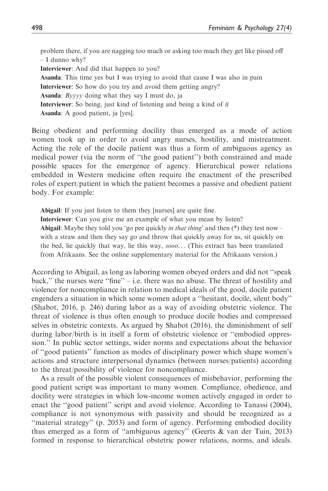problem there, if you are nagging too much or asking too much they get like pissed off – I dunno why?

Interviewer: And did that happen to you?

Asanda: This time yes but I was trying to avoid that cause I was also in pain

Interviewer: So how do you try and avoid them getting angry?

Asanda: Byyyy doing what they say I must do, ja

**Interviewer:** So being, just kind of listening and being a kind of  $#$ 

Asanda: A good patient, ja [yes].

Being obedient and performing docility thus emerged as a mode of action women took up in order to avoid angry nurses, hostility, and mistreatment. Acting the role of the docile patient was thus a form of ambiguous agency as medical power (via the norm of ''the good patient'') both constrained and made possible spaces for the emergence of agency. Hierarchical power relations embedded in Western medicine often require the enactment of the prescribed roles of expert/patient in which the patient becomes a passive and obedient patient body. For example:

Abigail: If you just listen to them they [nurses] are quite fine.

Interviewer: Can you give me an example of what you mean by listen? **Abigail:** Maybe they told you 'go pee quickly in that thing' and then  $(*)$  they test now – with a straw and then they say go and throw that quickly away for us, sit quickly on the bed, lie quickly that way, lie this way, sooo... (This extract has been translated from Afrikaans. See the online supplementary material for the Afrikaans version.)

According to Abigail, as long as laboring women obeyed orders and did not ''speak back," the nurses were "fine" – i.e. there was no abuse. The threat of hostility and violence for noncompliance in relation to medical ideals of the good, docile patient engenders a situation in which some women adopt a ''hesitant, docile, silent body'' (Shabot, 2016, p. 246) during labor as a way of avoiding obstetric violence. The threat of violence is thus often enough to produce docile bodies and compressed selves in obstetric contexts. As argued by Shabot (2016), the diminishment of self during labor/birth is in itself a form of obstetric violence or ''embodied oppression.'' In public sector settings, wider norms and expectations about the behavior of ''good patients'' function as modes of disciplinary power which shape women's actions and structure interpersonal dynamics (between nurses/patients) according to the threat/possibility of violence for noncompliance.

As a result of the possible violent consequences of misbehavior, performing the good patient script was important to many women. Compliance, obedience, and docility were strategies in which low-income women actively engaged in order to enact the ''good patient'' script and avoid violence. According to Tanassi (2004), compliance is not synonymous with passivity and should be recognized as a ''material strategy'' (p. 2053) and form of agency. Performing embodied docility thus emerged as a form of ''ambiguous agency'' (Geerts & van der Tuin, 2013) formed in response to hierarchical obstetric power relations, norms, and ideals.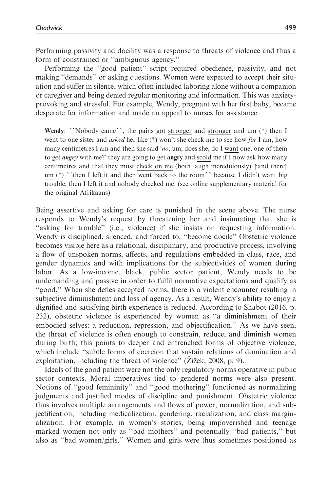Performing passivity and docility was a response to threats of violence and thus a form of constrained or ''ambiguous agency.''

Performing the ''good patient'' script required obedience, passivity, and not making ''demands'' or asking questions. Women were expected to accept their situation and suffer in silence, which often included laboring alone without a companion or caregiver and being denied regular monitoring and information. This was anxietyprovoking and stressful. For example, Wendy, pregnant with her first baby, became desperate for information and made an appeal to nurses for assistance:

Wendy:  $\hat{N}$ obody came $\hat{N}$ , the pains got stronger and stronger and um (\*) then I went to one sister and *asked* her like (\*) won't she check me to see how far I am, how many centimetres I am and then she said 'no, um, does she, do I want one, one of them to get *angry* with me?' they are going to get **angry** and scold me if I now ask how many centimetres and that they must check on me (both laugh incredulously)  $\uparrow$  and then $\uparrow$ um  $(*)$   $\hat{ }$  then I left it and then went back to the room $\hat{ }$  because I didn't want big trouble, then I left it and nobody checked me. (see online supplementary material for the original Afrikaans)

Being assertive and asking for care is punished in the scene above. The nurse responds to Wendy's request by threatening her and insinuating that she is ''asking for trouble'' (i.e., violence) if she insists on requesting information. Wendy is disciplined, silenced, and forced to, ''become docile'' Obstetric violence becomes visible here as a relational, disciplinary, and productive process, involving a flow of unspoken norms, affects, and regulations embedded in class, race, and gender dynamics and with implications for the subjectivities of women during labor. As a low-income, black, public sector patient, Wendy needs to be undemanding and passive in order to fulfil normative expectations and qualify as ''good.'' When she defies accepted norms, there is a violent encounter resulting in subjective diminishment and loss of agency. As a result, Wendy's ability to enjoy a dignified and satisfying birth experience is reduced. According to Shabot (2016, p. 232), obstetric violence is experienced by women as ''a diminishment of their embodied selves: a reduction, repression, and objectification.'' As we have seen, the threat of violence is often enough to constrain, reduce, and diminish women during birth; this points to deeper and entrenched forms of objective violence, which include ''subtle forms of coercion that sustain relations of domination and exploitation, including the threat of violence" ( $\angle Zi\overline{z}$ ek, 2008, p. 9).

Ideals of the good patient were not the only regulatory norms operative in public sector contexts. Moral imperatives tied to gendered norms were also present. Notions of ''good femininity'' and ''good mothering'' functioned as normalizing judgments and justified modes of discipline and punishment. Obstetric violence thus involves multiple arrangements and flows of power, normalization, and subjectification, including medicalization, gendering, racialization, and class marginalization. For example, in women's stories, being impoverished and teenage marked women not only as ''bad mothers'' and potentially ''bad patients,'' but also as ''bad women/girls.'' Women and girls were thus sometimes positioned as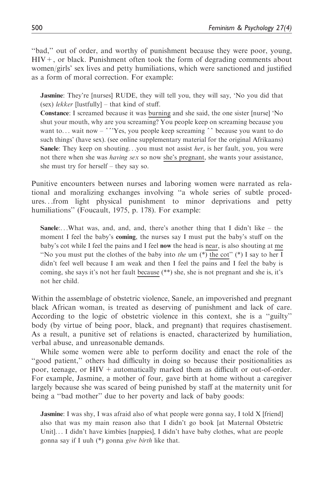''bad,'' out of order, and worthy of punishment because they were poor, young,  $HIV<sup>+</sup>$ , or black. Punishment often took the form of degrading comments about women/girls' sex lives and petty humiliations, which were sanctioned and justified as a form of moral correction. For example:

Jasmine: They're [nurses] RUDE, they will tell you, they will say, 'No you did that (sex) *lekker* [lustfully] – that kind of stuff.

Constance: I screamed because it was burning and she said, the one sister [nurse] 'No shut your mouth, why are you screaming? You people keep on screaming because you want to... wait now  $-\infty$  Yes, you people keep screaming  $\infty$  because you want to do such things' (have sex). (see online supplementary material for the original Afrikaans) Sanele: They keep on shouting...you must not assist her, is her fault, you, you were not there when she was *having sex* so now she's pregnant, she wants your assistance, she must try for herself – they say so.

Punitive encounters between nurses and laboring women were narrated as relational and moralizing exchanges involving ''a whole series of subtle procedures...from light physical punishment to minor deprivations and petty humiliations" (Foucault, 1975, p. 178). For example:

**Sanele:...What was, and, and, and, there's another thing that I didn't like** – the moment I feel the baby's **coming**, the nurses say I must put the baby's stuff on the baby's cot while I feel the pains and I feel now the head is near, is also shouting at me "No you must put the clothes of the baby into the um  $(*)$  the cot"  $(*)$  I say to her I didn't feel well because I am weak and then I feel the pains and I feel the baby is coming, she says it's not her fault because (\*\*) she, she is not pregnant and she is, it's not her child.

Within the assemblage of obstetric violence, Sanele, an impoverished and pregnant black African woman, is treated as deserving of punishment and lack of care. According to the logic of obstetric violence in this context, she is a ''guilty'' body (by virtue of being poor, black, and pregnant) that requires chastisement. As a result, a punitive set of relations is enacted, characterized by humiliation, verbal abuse, and unreasonable demands.

While some women were able to perform docility and enact the role of the ''good patient,'' others had difficulty in doing so because their positionalities as poor, teenage, or HIV + automatically marked them as difficult or out-of-order. For example, Jasmine, a mother of four, gave birth at home without a caregiver largely because she was scared of being punished by staff at the maternity unit for being a ''bad mother'' due to her poverty and lack of baby goods:

Jasmine: I was shy, I was afraid also of what people were gonna say, I told X [friend] also that was my main reason also that I didn't go book [at Maternal Obstetric Unit]... I didn't have kimbies [nappies], I didn't have baby clothes, what are people gonna say if I uuh (\*) gonna give birth like that.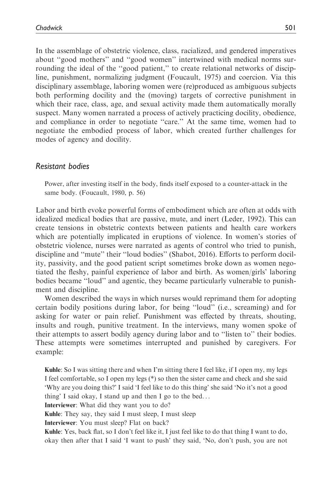In the assemblage of obstetric violence, class, racialized, and gendered imperatives about ''good mothers'' and ''good women'' intertwined with medical norms surrounding the ideal of the ''good patient,'' to create relational networks of discipline, punishment, normalizing judgment (Foucault, 1975) and coercion. Via this disciplinary assemblage, laboring women were (re)produced as ambiguous subjects both performing docility and the (moving) targets of corrective punishment in which their race, class, age, and sexual activity made them automatically morally suspect. Many women narrated a process of actively practicing docility, obedience, and compliance in order to negotiate ''care.'' At the same time, women had to negotiate the embodied process of labor, which created further challenges for modes of agency and docility.

### Resistant bodies

Power, after investing itself in the body, finds itself exposed to a counter-attack in the same body. (Foucault, 1980, p. 56)

Labor and birth evoke powerful forms of embodiment which are often at odds with idealized medical bodies that are passive, mute, and inert (Leder, 1992). This can create tensions in obstetric contexts between patients and health care workers which are potentially implicated in eruptions of violence. In women's stories of obstetric violence, nurses were narrated as agents of control who tried to punish, discipline and ''mute'' their ''loud bodies'' (Shabot, 2016). Efforts to perform docility, passivity, and the good patient script sometimes broke down as women negotiated the fleshy, painful experience of labor and birth. As women/girls' laboring bodies became ''loud'' and agentic, they became particularly vulnerable to punishment and discipline.

Women described the ways in which nurses would reprimand them for adopting certain bodily positions during labor, for being ''loud'' (i.e., screaming) and for asking for water or pain relief. Punishment was effected by threats, shouting, insults and rough, punitive treatment. In the interviews, many women spoke of their attempts to assert bodily agency during labor and to ''listen to'' their bodies. These attempts were sometimes interrupted and punished by caregivers. For example:

Kuhle: So I was sitting there and when I'm sitting there I feel like, if I open my, my legs I feel comfortable, so I open my legs (\*) so then the sister came and check and she said 'Why are you doing this?' I said 'I feel like to do this thing' she said 'No it's not a good thing' I said okay, I stand up and then I go to the bed...

Interviewer: What did they want you to do?

Kuhle: They say, they said I must sleep, I must sleep

Interviewer: You must sleep? Flat on back?

Kuhle: Yes, back flat, so I don't feel like it, I just feel like to do that thing I want to do, okay then after that I said 'I want to push' they said, 'No, don't push, you are not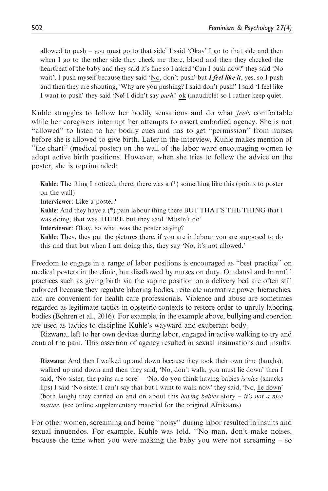allowed to push – you must go to that side' I said 'Okay' I go to that side and then when I go to the other side they check me there, blood and then they checked the heartbeat of the baby and they said it's fine so I asked 'Can I push now?' they said 'No wait', I push myself because they said 'No, don't push' but *I feel like it*, yes, so I push and then they are shouting, 'Why are you pushing? I said don't push!' I said 'I feel like I want to push' they said 'No! I didn't say push!' ok (inaudible) so I rather keep quiet.

Kuhle struggles to follow her bodily sensations and do what *feels* comfortable while her caregivers interrupt her attempts to assert embodied agency. She is not "allowed" to listen to her bodily cues and has to get "permission" from nurses before she is allowed to give birth. Later in the interview, Kuhle makes mention of ''the chart'' (medical poster) on the wall of the labor ward encouraging women to adopt active birth positions. However, when she tries to follow the advice on the poster, she is reprimanded:

Kuhle: The thing I noticed, there, there was a (\*) something like this (points to poster on the wall)

Interviewer: Like a poster?

Kuhle: And they have a (\*) pain labour thing there BUT THAT'S THE THING that I was doing, that was THERE but they said 'Mustn't do'

Interviewer: Okay, so what was the poster saying?

Kuhle: They, they put the pictures there, if you are in labour you are supposed to do this and that but when I am doing this, they say 'No, it's not allowed.'

Freedom to engage in a range of labor positions is encouraged as ''best practice'' on medical posters in the clinic, but disallowed by nurses on duty. Outdated and harmful practices such as giving birth via the supine position on a delivery bed are often still enforced because they regulate laboring bodies, reiterate normative power hierarchies, and are convenient for health care professionals. Violence and abuse are sometimes regarded as legitimate tactics in obstetric contexts to restore order to unruly laboring bodies (Bohren et al., 2016). For example, in the example above, bullying and coercion are used as tactics to discipline Kuhle's wayward and exuberant body.

Rizwana, left to her own devices during labor, engaged in active walking to try and control the pain. This assertion of agency resulted in sexual insinuations and insults:

Rizwana: And then I walked up and down because they took their own time (laughs), walked up and down and then they said, 'No, don't walk, you must lie down' then I said, 'No sister, the pains are sore' – 'No, do you think having babies is nice (smacks lips) I said 'No sister I can't say that but I want to walk now' they said, 'No, lie down' (both laugh) they carried on and on about this *having babies* story – *it's not a nice* matter. (see online supplementary material for the original Afrikaans)

For other women, screaming and being ''noisy'' during labor resulted in insults and sexual innuendos. For example, Kuhle was told, ''No man, don't make noises, because the time when you were making the baby you were not screaming – so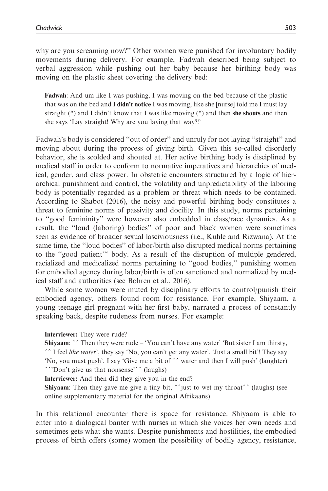why are you screaming now?'' Other women were punished for involuntary bodily movements during delivery. For example, Fadwah described being subject to verbal aggression while pushing out her baby because her birthing body was moving on the plastic sheet covering the delivery bed:

Fadwah: And um like I was pushing, I was moving on the bed because of the plastic that was on the bed and **I didn't notice** I was moving, like she [nurse] told me I must lay straight (\*) and I didn't know that I was like moving (\*) and then she shouts and then she says 'Lay straight! Why are you laying that way?!'

Fadwah's body is considered ''out of order'' and unruly for not laying ''straight'' and moving about during the process of giving birth. Given this so-called disorderly behavior, she is scolded and shouted at. Her active birthing body is disciplined by medical staff in order to conform to normative imperatives and hierarchies of medical, gender, and class power. In obstetric encounters structured by a logic of hierarchical punishment and control, the volatility and unpredictability of the laboring body is potentially regarded as a problem or threat which needs to be contained. According to Shabot (2016), the noisy and powerful birthing body constitutes a threat to feminine norms of passivity and docility. In this study, norms pertaining to ''good femininity'' were however also embedded in class/race dynamics. As a result, the ''loud (laboring) bodies'' of poor and black women were sometimes seen as evidence of broader sexual lasciviousness (i.e., Kuhle and Rizwana). At the same time, the ''loud bodies'' of labor/birth also disrupted medical norms pertaining to the ''good patient''' body. As a result of the disruption of multiple gendered, racialized and medicalized norms pertaining to ''good bodies,'' punishing women for embodied agency during labor/birth is often sanctioned and normalized by medical staff and authorities (see Bohren et al., 2016).

While some women were muted by disciplinary efforts to control/punish their embodied agency, others found room for resistance. For example, Shiyaam, a young teenage girl pregnant with her first baby, narrated a process of constantly speaking back, despite rudeness from nurses. For example:

Interviewer: They were rude?

**Shiyaam:**  $\hat{ }$  Then they were rude – 'You can't have any water' 'But sister I am thirsty, ^^ I feel like water', they say 'No, you can't get any water', 'Just a small bit'! They say 'No, you must push', I say 'Give me a bit of ^^ water and then I will push' (laughter) ^^'Don't give us that nonsense'^^ (laughs)

Interviewer: And then did they give you in the end?

**Shiyaam**: Then they gave me give a tiny bit,  $\hat{ }$  just to wet my throat  $\hat{ }$  (laughs) (see online supplementary material for the original Afrikaans)

In this relational encounter there is space for resistance. Shiyaam is able to enter into a dialogical banter with nurses in which she voices her own needs and sometimes gets what she wants. Despite punishments and hostilities, the embodied process of birth offers (some) women the possibility of bodily agency, resistance,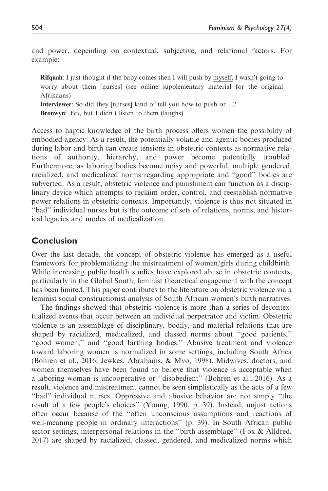and power, depending on contextual, subjective, and relational factors. For example:

Rifquah: I just thought if the baby comes then I will push by myself, I wasn't going to worry about them [nurses] (see online supplementary material for the original Afrikaans) Interviewer: So did they [nurses] kind of tell you how to push or...? Bronwyn: Yes, but I didn't listen to them (laughs)

Access to haptic knowledge of the birth process offers women the possibility of embodied agency. As a result, the potentially volatile and agentic bodies produced during labor and birth can create tensions in obstetric contexts as normative relations of authority, hierarchy, and power become potentially troubled. Furthermore, as laboring bodies become noisy and powerful, multiple gendered, racialized, and medicalized norms regarding appropriate and ''good'' bodies are subverted. As a result, obstetric violence and punishment can function as a disciplinary device which attempts to reclaim order, control, and reestablish normative power relations in obstetric contexts. Importantly, violence is thus not situated in ''bad'' individual nurses but is the outcome of sets of relations, norms, and historical legacies and modes of medicalization.

# Conclusion

Over the last decade, the concept of obstetric violence has emerged as a useful framework for problematizing the mistreatment of women/girls during childbirth. While increasing public health studies have explored abuse in obstetric contexts, particularly in the Global South, feminist theoretical engagement with the concept has been limited. This paper contributes to the literature on obstetric violence via a feminist social constructionist analysis of South African women's birth narratives.

The findings showed that obstetric violence is more than a series of decontextualized events that occur between an individual perpetrator and victim. Obstetric violence is an assemblage of disciplinary, bodily, and material relations that are shaped by racialized, medicalized, and classed norms about ''good patients,'' "good women," and "good birthing bodies." Abusive treatment and violence toward laboring women is normalized in some settings, including South Africa (Bohren et al., 2016; Jewkes, Abrahams, & Mvo, 1998). Midwives, doctors, and women themselves have been found to believe that violence is acceptable when a laboring woman is uncooperative or ''disobedient'' (Bohren et al., 2016). As a result, violence and mistreatment cannot be seen simplistically as the acts of a few ''bad'' individual nurses. Oppressive and abusive behavior are not simply ''the result of a few people's choices'' (Young, 1990, p. 39). Instead, unjust actions often occur because of the ''often unconscious assumptions and reactions of well-meaning people in ordinary interactions'' (p. 39). In South African public sector settings, interpersonal relations in the "birth assemblage" (Fox & Alldred, 2017) are shaped by racialized, classed, gendered, and medicalized norms which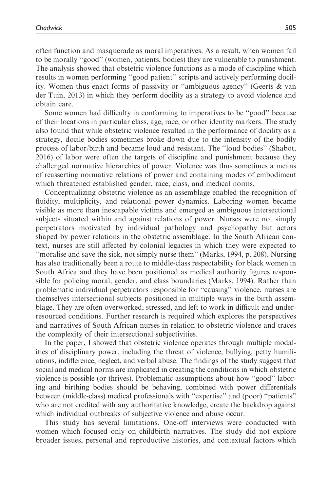often function and masquerade as moral imperatives. As a result, when women fail to be morally ''good'' (women, patients, bodies) they are vulnerable to punishment. The analysis showed that obstetric violence functions as a mode of discipline which results in women performing ''good patient'' scripts and actively performing docility. Women thus enact forms of passivity or ''ambiguous agency'' (Geerts & van der Tuin, 2013) in which they perform docility as a strategy to avoid violence and obtain care.

Some women had difficulty in conforming to imperatives to be ''good'' because of their locations in particular class, age, race, or other identity markers. The study also found that while obstetric violence resulted in the performance of docility as a strategy, docile bodies sometimes broke down due to the intensity of the bodily process of labor/birth and became loud and resistant. The ''loud bodies'' (Shabot, 2016) of labor were often the targets of discipline and punishment because they challenged normative hierarchies of power. Violence was thus sometimes a means of reasserting normative relations of power and containing modes of embodiment which threatened established gender, race, class, and medical norms.

Conceptualizing obstetric violence as an assemblage enabled the recognition of fluidity, multiplicity, and relational power dynamics. Laboring women became visible as more than inescapable victims and emerged as ambiguous intersectional subjects situated within and against relations of power. Nurses were not simply perpetrators motivated by individual pathology and psychopathy but actors shaped by power relations in the obstetric assemblage. In the South African context, nurses are still affected by colonial legacies in which they were expected to ''moralise and save the sick, not simply nurse them'' (Marks, 1994, p. 208). Nursing has also traditionally been a route to middle-class respectability for black women in South Africa and they have been positioned as medical authority figures responsible for policing moral, gender, and class boundaries (Marks, 1994). Rather than problematic individual perpetrators responsible for ''causing'' violence, nurses are themselves intersectional subjects positioned in multiple ways in the birth assemblage. They are often overworked, stressed, and left to work in difficult and underresourced conditions. Further research is required which explores the perspectives and narratives of South African nurses in relation to obstetric violence and traces the complexity of their intersectional subjectivities.

In the paper, I showed that obstetric violence operates through multiple modalities of disciplinary power, including the threat of violence, bullying, petty humiliations, indifference, neglect, and verbal abuse. The findings of the study suggest that social and medical norms are implicated in creating the conditions in which obstetric violence is possible (or thrives). Problematic assumptions about how ''good'' laboring and birthing bodies should be behaving, combined with power differentials between (middle-class) medical professionals with ''expertise'' and (poor) ''patients'' who are not credited with any authoritative knowledge, create the backdrop against which individual outbreaks of subjective violence and abuse occur.

This study has several limitations. One-off interviews were conducted with women which focused only on childbirth narratives. The study did not explore broader issues, personal and reproductive histories, and contextual factors which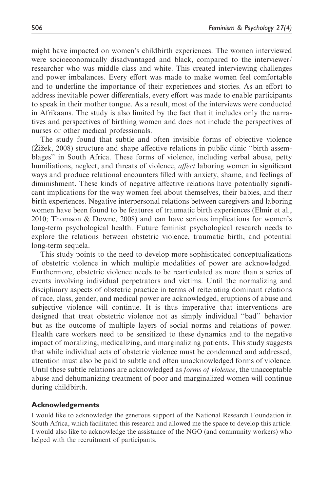might have impacted on women's childbirth experiences. The women interviewed were socioeconomically disadvantaged and black, compared to the interviewer/ researcher who was middle class and white. This created interviewing challenges and power imbalances. Every effort was made to make women feel comfortable and to underline the importance of their experiences and stories. As an effort to address inevitable power differentials, every effort was made to enable participants to speak in their mother tongue. As a result, most of the interviews were conducted in Afrikaans. The study is also limited by the fact that it includes only the narratives and perspectives of birthing women and does not include the perspectives of nurses or other medical professionals.

The study found that subtle and often invisible forms of objective violence  $(Zi\check{z}ek, 2008)$  structure and shape affective relations in public clinic "birth assemblages'' in South Africa. These forms of violence, including verbal abuse, petty humiliations, neglect, and threats of violence, *affect* laboring women in significant ways and produce relational encounters filled with anxiety, shame, and feelings of diminishment. These kinds of negative affective relations have potentially significant implications for the way women feel about themselves, their babies, and their birth experiences. Negative interpersonal relations between caregivers and laboring women have been found to be features of traumatic birth experiences (Elmir et al., 2010; Thomson & Downe, 2008) and can have serious implications for women's long-term psychological health. Future feminist psychological research needs to explore the relations between obstetric violence, traumatic birth, and potential long-term sequela.

This study points to the need to develop more sophisticated conceptualizations of obstetric violence in which multiple modalities of power are acknowledged. Furthermore, obstetric violence needs to be rearticulated as more than a series of events involving individual perpetrators and victims. Until the normalizing and disciplinary aspects of obstetric practice in terms of reiterating dominant relations of race, class, gender, and medical power are acknowledged, eruptions of abuse and subjective violence will continue. It is thus imperative that interventions are designed that treat obstetric violence not as simply individual ''bad'' behavior but as the outcome of multiple layers of social norms and relations of power. Health care workers need to be sensitized to these dynamics and to the negative impact of moralizing, medicalizing, and marginalizing patients. This study suggests that while individual acts of obstetric violence must be condemned and addressed, attention must also be paid to subtle and often unacknowledged forms of violence. Until these subtle relations are acknowledged as *forms of violence*, the unacceptable abuse and dehumanizing treatment of poor and marginalized women will continue during childbirth.

### Acknowledgements

I would like to acknowledge the generous support of the National Research Foundation in South Africa, which facilitated this research and allowed me the space to develop this article. I would also like to acknowledge the assistance of the NGO (and community workers) who helped with the recruitment of participants.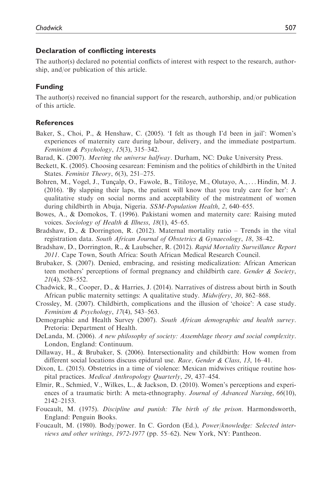### Declaration of conflicting interests

The author(s) declared no potential conflicts of interest with respect to the research, authorship, and/or publication of this article.

### Funding

The author(s) received no financial support for the research, authorship, and/or publication of this article.

#### References

- Baker, S., Choi, P., & Henshaw, C. (2005). 'I felt as though I'd been in jail': Women's experiences of maternity care during labour, delivery, and the immediate postpartum. Feminism & Psychology, 15(3), 315-342.
- Barad, K. (2007). *Meeting the universe halfway*. Durham, NC: Duke University Press.
- Beckett, K. (2005). Choosing cesarean: Feminism and the politics of childbirth in the United States. Feminist Theory, 6(3), 251-275.
- Bohren, M., Vogel, J., Tunçalp, O., Fawole, B., Titiloye, M., Olutayo, A., ... Hindin, M. J. (2016). 'By slapping their laps, the patient will know that you truly care for her': A qualitative study on social norms and acceptability of the mistreatment of women during childbirth in Abuja, Nigeria. SSM-Population Health, 2, 640–655.
- Bowes, A., & Domokos, T. (1996). Pakistani women and maternity care: Raising muted voices. Sociology of Health & Illness, 18(1), 45–65.
- Bradshaw, D., & Dorrington, R. (2012). Maternal mortality ratio Trends in the vital registration data. South African Journal of Obstetrics & Gynaecology, 18, 38–42.
- Bradshaw, D., Dorrington, R., & Laubscher, R. (2012). Rapid Mortality Surveillance Report 2011. Cape Town, South Africa: South African Medical Research Council.
- Brubaker, S. (2007). Denied, embracing, and resisting medicalization: African American teen mothers' perceptions of formal pregnancy and childbirth care. Gender & Society, 21(4), 528–552.
- Chadwick, R., Cooper, D., & Harries, J. (2014). Narratives of distress about birth in South African public maternity settings: A qualitative study. *Midwifery*, 30, 862–868.
- Crossley, M. (2007). Childbirth, complications and the illusion of 'choice': A case study. Feminism & Psychology, 17(4), 543–563.
- Demographic and Health Survey (2007). South African demographic and health survey. Pretoria: Department of Health.
- DeLanda, M. (2006). A new philosophy of society: Assemblage theory and social complexity. London, England: Continuum.
- Dillaway, H., & Brubaker, S. (2006). Intersectionality and childbirth: How women from different social locations discuss epidural use. Race, Gender & Class, 13, 16–41.
- Dixon, L. (2015). Obstetrics in a time of violence: Mexican midwives critique routine hospital practices. Medical Anthropology Quarterly, 29, 437-454.
- Elmir, R., Schmied, V., Wilkes, L., & Jackson, D. (2010). Women's perceptions and experiences of a traumatic birth: A meta-ethnography. Journal of Advanced Nursing, 66(10), 2142–2153.
- Foucault, M. (1975). Discipline and punish: The birth of the prison. Harmondsworth, England: Penguin Books.
- Foucault, M. (1980). Body/power. In C. Gordon (Ed.), Power/knowledge: Selected interviews and other writings, 1972-1977 (pp. 55–62). New York, NY: Pantheon.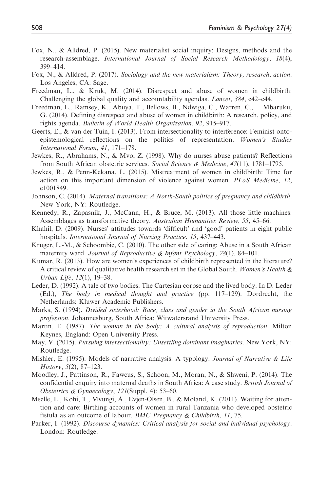- Fox, N., & Alldred, P. (2015). New materialist social inquiry: Designs, methods and the research-assemblage. International Journal of Social Research Methodology, 18(4), 399–414.
- Fox, N., & Alldred, P. (2017). Sociology and the new materialism: Theory, research, action. Los Angeles, CA: Sage.
- Freedman, L., & Kruk, M. (2014). Disrespect and abuse of women in childbirth: Challenging the global quality and accountability agendas. Lancet, 384, e42–e44.
- Freedman, L., Ramsey, K., Abuya, T., Bellows, B., Ndwiga, C., Warren, C., ... Mbaruku, G. (2014). Defining disrespect and abuse of women in childbirth: A research, policy, and rights agenda. Bulletin of World Health Organization, 92, 915–917.
- Geerts, E., & van der Tuin, I. (2013). From intersectionality to interference: Feminist ontoepistemological reflections on the politics of representation. Women's Studies International Forum, 41, 171–178.
- Jewkes, R., Abrahams, N., & Mvo, Z. (1998). Why do nurses abuse patients? Reflections from South African obstetric services. Social Science & Medicine, 47(11), 1781–1795.
- Jewkes, R., & Penn-Kekana, L. (2015). Mistreatment of women in childbirth: Time for action on this important dimension of violence against women. PLoS Medicine, 12, e1001849.
- Johnson, C. (2014). Maternal transitions: A North-South politics of pregnancy and childbirth. New York, NY: Routledge.
- Kennedy, R., Zapasnik, J., McCann, H., & Bruce, M. (2013). All those little machines: Assemblages as transformative theory. Australian Humanities Review, 55, 45–66.
- Khahil, D. (2009). Nurses' attitudes towards 'difficult' and 'good' patients in eight public hospitals. International Journal of Nursing Practice, 15, 437–443.
- Kruger, L.-M., & Schoombie, C. (2010). The other side of caring: Abuse in a South African maternity ward. Journal of Reproductive & Infant Psychology, 28(1), 84–101.
- Kumar, R. (2013). How are women's experiences of childbirth represented in the literature? A critical review of qualitative health research set in the Global South. *Women's Health &* Urban Life, 12(1), 19–38.
- Leder, D. (1992). A tale of two bodies: The Cartesian corpse and the lived body. In D. Leder (Ed.), The body in medical thought and practice (pp. 117–129). Dordrecht, the Netherlands: Kluwer Academic Publishers.
- Marks, S. (1994). Divided sisterhood: Race, class and gender in the South African nursing profession. Johannesburg, South Africa: Witwatersrand University Press.
- Martin, E. (1987). The woman in the body: A cultural analysis of reproduction. Milton Keynes, England: Open University Press.
- May, V. (2015). Pursuing intersectionality: Unsettling dominant imaginaries. New York, NY: Routledge.
- Mishler, E. (1995). Models of narrative analysis: A typology. Journal of Narrative & Life History, 5(2), 87–123.
- Moodley, J., Pattinson, R., Fawcus, S., Schoon, M., Moran, N., & Shweni, P. (2014). The confidential enquiry into maternal deaths in South Africa: A case study. British Journal of Obstetrics & Gynaecology, 121(Suppl. 4): 53–60.
- Mselle, L., Kohi, T., Mvungi, A., Evjen-Olsen, B., & Moland, K. (2011). Waiting for attention and care: Birthing accounts of women in rural Tanzania who developed obstetric fistula as an outcome of labour. BMC Pregnancy & Childbirth, 11, 75.
- Parker, I. (1992). Discourse dynamics: Critical analysis for social and individual psychology. London: Routledge.